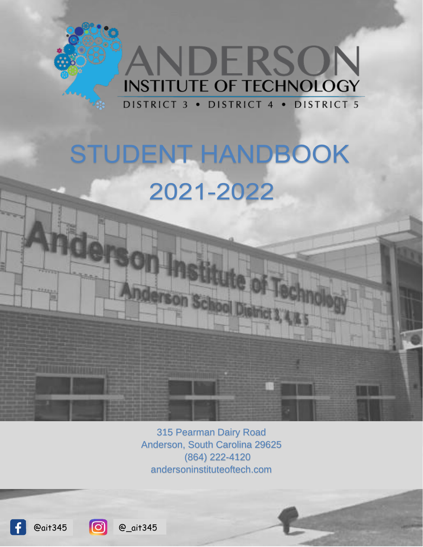

# **STUDENT HANDBOOK** 2021-2022

derson School

315 Pearman Dairy Road Anderson, South Carolina 29625 (864) 222-4120 andersoninstituteoftech.com

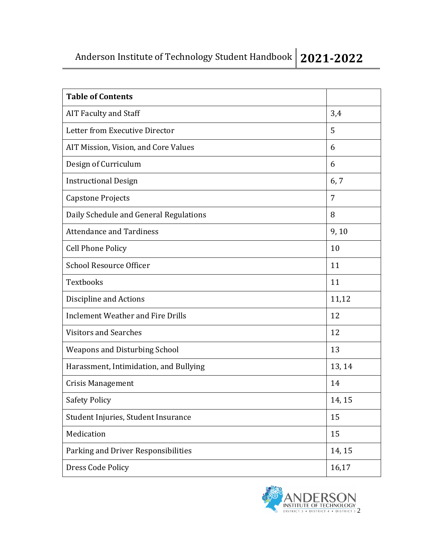# Anderson Institute of Technology Student Handbook **2021-2022**

| <b>Table of Contents</b>                 |        |
|------------------------------------------|--------|
|                                          |        |
| <b>AIT Faculty and Staff</b>             | 3,4    |
| Letter from Executive Director           | 5      |
| AIT Mission, Vision, and Core Values     | 6      |
| Design of Curriculum                     | 6      |
| <b>Instructional Design</b>              | 6,7    |
| <b>Capstone Projects</b>                 | 7      |
| Daily Schedule and General Regulations   | 8      |
| <b>Attendance and Tardiness</b>          | 9,10   |
| <b>Cell Phone Policy</b>                 | 10     |
| <b>School Resource Officer</b>           | 11     |
| Textbooks                                | 11     |
| Discipline and Actions                   | 11,12  |
| <b>Inclement Weather and Fire Drills</b> | 12     |
| <b>Visitors and Searches</b>             | 12     |
| <b>Weapons and Disturbing School</b>     | 13     |
| Harassment, Intimidation, and Bullying   | 13, 14 |
| <b>Crisis Management</b>                 | 14     |
| <b>Safety Policy</b>                     | 14, 15 |
| Student Injuries, Student Insurance      | 15     |
| Medication                               | 15     |
| Parking and Driver Responsibilities      | 14, 15 |
| Dress Code Policy                        | 16,17  |

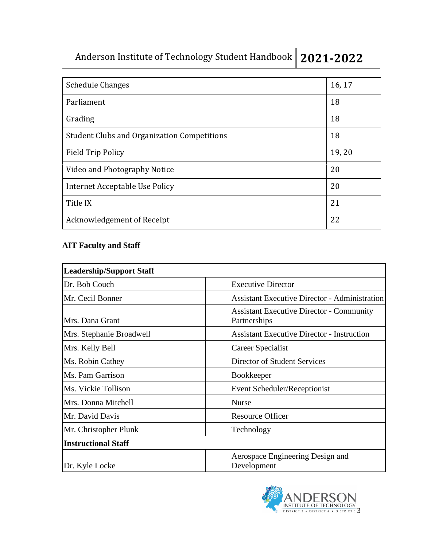Anderson Institute of Technology Student Handbook **2021-2022**

| <b>Schedule Changes</b>                            | 16, 17 |
|----------------------------------------------------|--------|
| Parliament                                         | 18     |
| Grading                                            | 18     |
| <b>Student Clubs and Organization Competitions</b> | 18     |
| <b>Field Trip Policy</b>                           | 19,20  |
| Video and Photography Notice                       | 20     |
| Internet Acceptable Use Policy                     | 20     |
| Title IX                                           | 21     |
| Acknowledgement of Receipt                         | 22     |

# **AIT Faculty and Staff**

| <b>Leadership/Support Staff</b> |                                                                 |
|---------------------------------|-----------------------------------------------------------------|
| Dr. Bob Couch                   | <b>Executive Director</b>                                       |
| Mr. Cecil Bonner                | <b>Assistant Executive Director - Administration</b>            |
| Mrs. Dana Grant                 | <b>Assistant Executive Director - Community</b><br>Partnerships |
| Mrs. Stephanie Broadwell        | <b>Assistant Executive Director - Instruction</b>               |
| Mrs. Kelly Bell                 | <b>Career Specialist</b>                                        |
| Ms. Robin Cathey                | Director of Student Services                                    |
| Ms. Pam Garrison                | <b>Bookkeeper</b>                                               |
| Ms. Vickie Tollison             | Event Scheduler/Receptionist                                    |
| Mrs. Donna Mitchell             | <b>Nurse</b>                                                    |
| Mr. David Davis                 | <b>Resource Officer</b>                                         |
| Mr. Christopher Plunk           | Technology                                                      |
| <b>Instructional Staff</b>      |                                                                 |
| Dr. Kyle Locke                  | Aerospace Engineering Design and<br>Development                 |

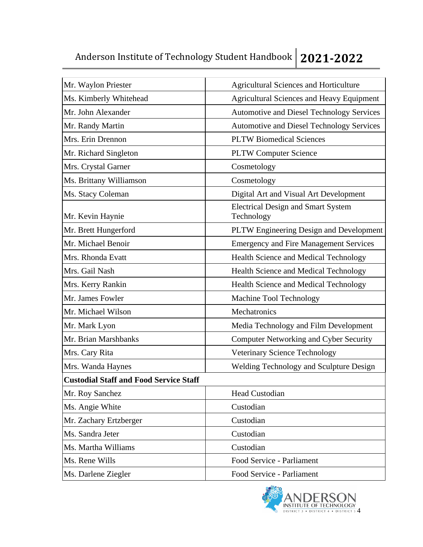# Anderson Institute of Technology Student Handbook **2021-2022**

| Mr. Waylon Priester                           | <b>Agricultural Sciences and Horticulture</b>           |
|-----------------------------------------------|---------------------------------------------------------|
| Ms. Kimberly Whitehead                        | <b>Agricultural Sciences and Heavy Equipment</b>        |
| Mr. John Alexander                            | <b>Automotive and Diesel Technology Services</b>        |
| Mr. Randy Martin                              | Automotive and Diesel Technology Services               |
| Mrs. Erin Drennon                             | <b>PLTW Biomedical Sciences</b>                         |
| Mr. Richard Singleton                         | <b>PLTW Computer Science</b>                            |
| Mrs. Crystal Garner                           | Cosmetology                                             |
| Ms. Brittany Williamson                       | Cosmetology                                             |
| Ms. Stacy Coleman                             | Digital Art and Visual Art Development                  |
| Mr. Kevin Haynie                              | <b>Electrical Design and Smart System</b><br>Technology |
| Mr. Brett Hungerford                          | PLTW Engineering Design and Development                 |
| Mr. Michael Benoir                            | <b>Emergency and Fire Management Services</b>           |
| Mrs. Rhonda Evatt                             | Health Science and Medical Technology                   |
| Mrs. Gail Nash                                | Health Science and Medical Technology                   |
| Mrs. Kerry Rankin                             | <b>Health Science and Medical Technology</b>            |
| Mr. James Fowler                              | Machine Tool Technology                                 |
| Mr. Michael Wilson                            | Mechatronics                                            |
| Mr. Mark Lyon                                 | Media Technology and Film Development                   |
| Mr. Brian Marshbanks                          | <b>Computer Networking and Cyber Security</b>           |
| Mrs. Cary Rita                                | Veterinary Science Technology                           |
| Mrs. Wanda Haynes                             | Welding Technology and Sculpture Design                 |
| <b>Custodial Staff and Food Service Staff</b> |                                                         |
| Mr. Roy Sanchez                               | Head Custodian                                          |
| Ms. Angie White                               | Custodian                                               |
| Mr. Zachary Ertzberger                        | Custodian                                               |
| Ms. Sandra Jeter                              | Custodian                                               |
| Ms. Martha Williams                           | Custodian                                               |
| Ms. Rene Wills                                | Food Service - Parliament                               |
| Ms. Darlene Ziegler                           | Food Service - Parliament                               |

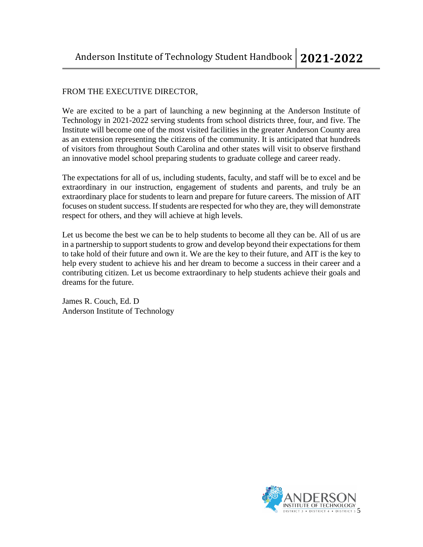# FROM THE EXECUTIVE DIRECTOR,

We are excited to be a part of launching a new beginning at the Anderson Institute of Technology in 2021-2022 serving students from school districts three, four, and five. The Institute will become one of the most visited facilities in the greater Anderson County area as an extension representing the citizens of the community. It is anticipated that hundreds of visitors from throughout South Carolina and other states will visit to observe firsthand an innovative model school preparing students to graduate college and career ready.

The expectations for all of us, including students, faculty, and staff will be to excel and be extraordinary in our instruction, engagement of students and parents, and truly be an extraordinary place for students to learn and prepare for future careers. The mission of AIT focuses on student success. If students are respected for who they are, they will demonstrate respect for others, and they will achieve at high levels.

Let us become the best we can be to help students to become all they can be. All of us are in a partnership to support students to grow and develop beyond their expectations for them to take hold of their future and own it. We are the key to their future, and AIT is the key to help every student to achieve his and her dream to become a success in their career and a contributing citizen. Let us become extraordinary to help students achieve their goals and dreams for the future.

James R. Couch, Ed. D Anderson Institute of Technology

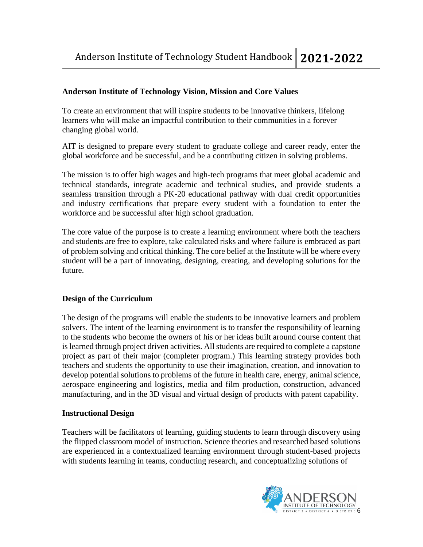# **Anderson Institute of Technology Vision, Mission and Core Values**

To create an environment that will inspire students to be innovative thinkers, lifelong learners who will make an impactful contribution to their communities in a forever changing global world.

AIT is designed to prepare every student to graduate college and career ready, enter the global workforce and be successful, and be a contributing citizen in solving problems.

The mission is to offer high wages and high-tech programs that meet global academic and technical standards, integrate academic and technical studies, and provide students a seamless transition through a PK-20 educational pathway with dual credit opportunities and industry certifications that prepare every student with a foundation to enter the workforce and be successful after high school graduation.

The core value of the purpose is to create a learning environment where both the teachers and students are free to explore, take calculated risks and where failure is embraced as part of problem solving and critical thinking. The core belief at the Institute will be where every student will be a part of innovating, designing, creating, and developing solutions for the future.

# **Design of the Curriculum**

The design of the programs will enable the students to be innovative learners and problem solvers. The intent of the learning environment is to transfer the responsibility of learning to the students who become the owners of his or her ideas built around course content that is learned through project driven activities. All students are required to complete a capstone project as part of their major (completer program.) This learning strategy provides both teachers and students the opportunity to use their imagination, creation, and innovation to develop potential solutions to problems of the future in health care, energy, animal science, aerospace engineering and logistics, media and film production, construction, advanced manufacturing, and in the 3D visual and virtual design of products with patent capability.

# **Instructional Design**

Teachers will be facilitators of learning, guiding students to learn through discovery using the flipped classroom model of instruction. Science theories and researched based solutions are experienced in a contextualized learning environment through student-based projects with students learning in teams, conducting research, and conceptualizing solutions of

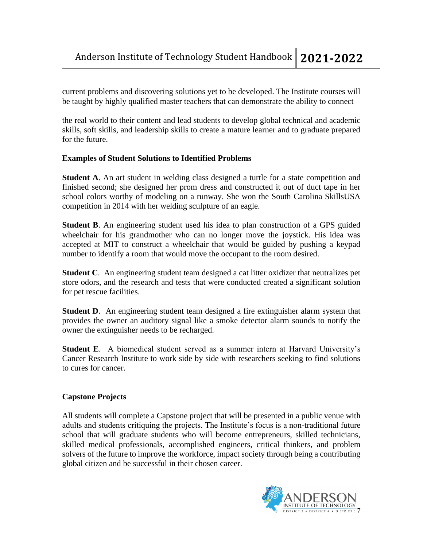current problems and discovering solutions yet to be developed. The Institute courses will be taught by highly qualified master teachers that can demonstrate the ability to connect

the real world to their content and lead students to develop global technical and academic skills, soft skills, and leadership skills to create a mature learner and to graduate prepared for the future.

# **Examples of Student Solutions to Identified Problems**

**Student A.** An art student in welding class designed a turtle for a state competition and finished second; she designed her prom dress and constructed it out of duct tape in her school colors worthy of modeling on a runway. She won the South Carolina SkillsUSA competition in 2014 with her welding sculpture of an eagle.

**Student B**. An engineering student used his idea to plan construction of a GPS guided wheelchair for his grandmother who can no longer move the joystick. His idea was accepted at MIT to construct a wheelchair that would be guided by pushing a keypad number to identify a room that would move the occupant to the room desired.

**Student C**. An engineering student team designed a cat litter oxidizer that neutralizes pet store odors, and the research and tests that were conducted created a significant solution for pet rescue facilities.

**Student D.** An engineering student team designed a fire extinguisher alarm system that provides the owner an auditory signal like a smoke detector alarm sounds to notify the owner the extinguisher needs to be recharged.

**Student E**. A biomedical student served as a summer intern at Harvard University's Cancer Research Institute to work side by side with researchers seeking to find solutions to cures for cancer.

# **Capstone Projects**

All students will complete a Capstone project that will be presented in a public venue with adults and students critiquing the projects. The Institute's focus is a non-traditional future school that will graduate students who will become entrepreneurs, skilled technicians, skilled medical professionals, accomplished engineers, critical thinkers, and problem solvers of the future to improve the workforce, impact society through being a contributing global citizen and be successful in their chosen career.

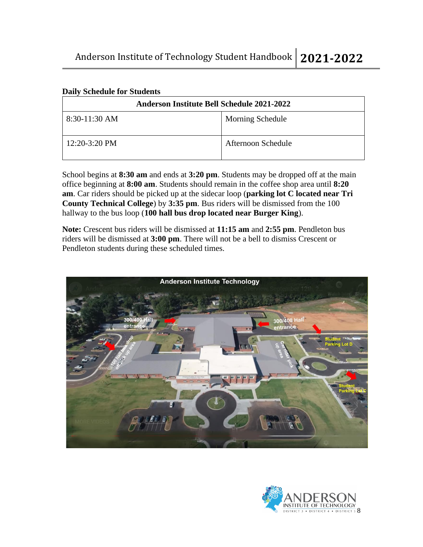| <b>Anderson Institute Bell Schedule 2021-2022</b> |                         |  |
|---------------------------------------------------|-------------------------|--|
| $8:30-11:30$ AM                                   | <b>Morning Schedule</b> |  |
| $12:20-3:20$ PM                                   | Afternoon Schedule      |  |

#### **Daily Schedule for Students**

School begins at **8:30 am** and ends at **3:20 pm**. Students may be dropped off at the main office beginning at **8:00 am**. Students should remain in the coffee shop area until **8:20 am**. Car riders should be picked up at the sidecar loop (**parking lot C located near Tri County Technical College**) by **3:35 pm**. Bus riders will be dismissed from the 100 hallway to the bus loop (**100 hall bus drop located near Burger King**).

**Note:** Crescent bus riders will be dismissed at **11:15 am** and **2:55 pm**. Pendleton bus riders will be dismissed at **3:00 pm**. There will not be a bell to dismiss Crescent or Pendleton students during these scheduled times.



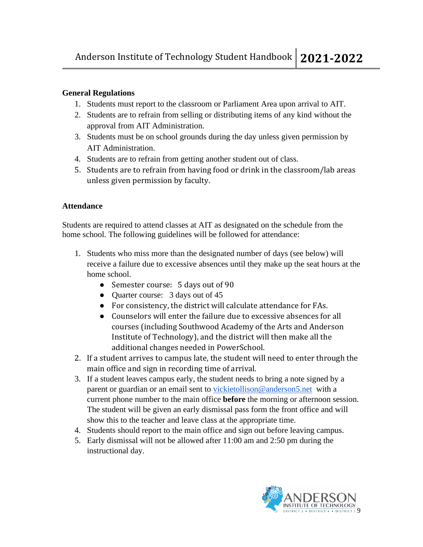# **General Regulations**

- 1. Students must report to the classroom or Parliament Area upon arrival to AIT.
- 2. Students are to refrain from selling or distributing items of any kind without the approval from AIT Administration.
- 3. Students must be on school grounds during the day unless given permission by AIT Administration.
- 4. Students are to refrain from getting another student out of class.
- 5. Students are to refrain from having food or drink in the classroom/lab areas unless given permission by faculty.

# **Attendance**

Students are required to attend classes at AIT as designated on the schedule from the home school. The following guidelines will be followed for attendance:

- 1. Students who miss more than the designated number of days (see below) will receive a failure due to excessive absences until they make up the seat hours at the home school.
	- Semester course: 5 days out of 90
	- Quarter course: 3 days out of 45
	- For consistency, the district will calculate attendance for FAs.
	- Counselors will enter the failure due to excessive absences for all courses (including Southwood Academy of the Arts and Anderson Institute of Technology), and the district will then make all the additional changes needed in PowerSchool.
- 2. If a student arrives to campus late, the student will need to enter through the main office and sign in recording time of arrival.
- 3. If a student leaves campus early, the student needs to bring a note signed by a parent or guardian or an email sent to [vickietollison@anderson5.net](mailto:vickietollison@anderson5.net) with a current phone number to the main office **before** the morning or afternoon session. The student will be given an early dismissal pass form the front office and will show this to the teacher and leave class at the appropriate time.
- 4. Students should report to the main office and sign out before leaving campus.
- 5. Early dismissal will not be allowed after 11:00 am and 2:50 pm during the instructional day.

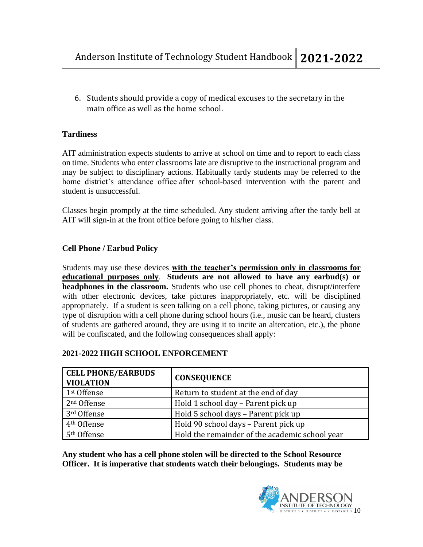6. Students should provide a copy of medical excuses to the secretary in the main office as well as the home school.

# **Tardiness**

AIT administration expects students to arrive at school on time and to report to each class on time. Students who enter classrooms late are disruptive to the instructional program and may be subject to disciplinary actions. Habitually tardy students may be referred to the home district's attendance office after school-based intervention with the parent and student is unsuccessful.

Classes begin promptly at the time scheduled. Any student arriving after the tardy bell at AIT will sign-in at the front office before going to his/her class.

# **Cell Phone / Earbud Policy**

Students may use these devices **with the teacher's permission only in classrooms for educational purposes only**. **Students are not allowed to have any earbud(s) or headphones in the classroom.** Students who use cell phones to cheat, disrupt/interfere with other electronic devices, take pictures inappropriately, etc. will be disciplined appropriately. If a student is seen talking on a cell phone, taking pictures, or causing any type of disruption with a cell phone during school hours (i.e., music can be heard, clusters of students are gathered around, they are using it to incite an altercation, etc.), the phone will be confiscated, and the following consequences shall apply:

| <b>CELL PHONE/EARBUDS</b><br><b>VIOLATION</b> | <b>CONSEQUENCE</b>                             |
|-----------------------------------------------|------------------------------------------------|
| 1 <sup>st</sup> Offense                       | Return to student at the end of day            |
| 2 <sup>nd</sup> Offense                       | Hold 1 school day - Parent pick up             |
| 3rd Offense                                   | Hold 5 school days - Parent pick up            |
| 4 <sup>th</sup> Offense                       | Hold 90 school days - Parent pick up           |
| 5 <sup>th</sup> Offense                       | Hold the remainder of the academic school year |

# **2021-2022 HIGH SCHOOL ENFORCEMENT**

**Any student who has a cell phone stolen will be directed to the School Resource Officer. It is imperative that students watch their belongings. Students may be** 

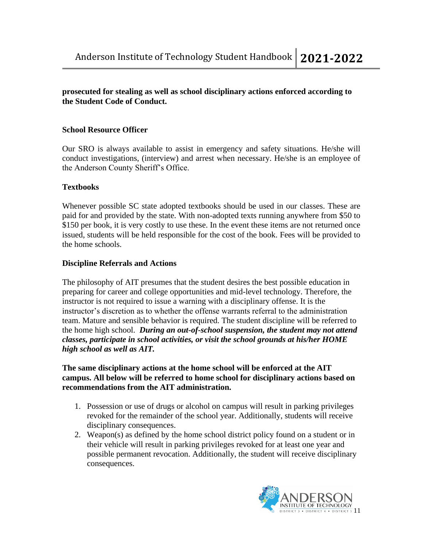# **prosecuted for stealing as well as school disciplinary actions enforced according to the Student Code of Conduct.**

# **School Resource Officer**

Our SRO is always available to assist in emergency and safety situations. He/she will conduct investigations, (interview) and arrest when necessary. He/she is an employee of the Anderson County Sheriff's Office.

# **Textbooks**

Whenever possible SC state adopted textbooks should be used in our classes. These are paid for and provided by the state. With non-adopted texts running anywhere from \$50 to \$150 per book, it is very costly to use these. In the event these items are not returned once issued, students will be held responsible for the cost of the book. Fees will be provided to the home schools.

# **Discipline Referrals and Actions**

The philosophy of AIT presumes that the student desires the best possible education in preparing for career and college opportunities and mid-level technology. Therefore, the instructor is not required to issue a warning with a disciplinary offense. It is the instructor's discretion as to whether the offense warrants referral to the administration team. Mature and sensible behavior is required. The student discipline will be referred to the home high school. *During an out-of-school suspension, the student may not attend classes, participate in school activities, or visit the school grounds at his/her HOME high school as well as AIT.*

#### **The same disciplinary actions at the home school will be enforced at the AIT campus. All below will be referred to home school for disciplinary actions based on recommendations from the AIT administration.**

- 1. Possession or use of drugs or alcohol on campus will result in parking privileges revoked for the remainder of the school year. Additionally, students will receive disciplinary consequences.
- 2. Weapon(s) as defined by the home school district policy found on a student or in their vehicle will result in parking privileges revoked for at least one year and possible permanent revocation. Additionally, the student will receive disciplinary consequences.

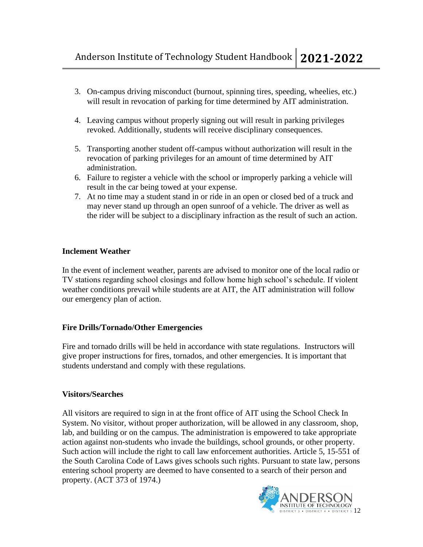- 3. On-campus driving misconduct (burnout, spinning tires, speeding, wheelies, etc.) will result in revocation of parking for time determined by AIT administration.
- 4. Leaving campus without properly signing out will result in parking privileges revoked. Additionally, students will receive disciplinary consequences.
- 5. Transporting another student off-campus without authorization will result in the revocation of parking privileges for an amount of time determined by AIT administration.
- 6. Failure to register a vehicle with the school or improperly parking a vehicle will result in the car being towed at your expense.
- 7. At no time may a student stand in or ride in an open or closed bed of a truck and may never stand up through an open sunroof of a vehicle. The driver as well as the rider will be subject to a disciplinary infraction as the result of such an action.

# **Inclement Weather**

In the event of inclement weather, parents are advised to monitor one of the local radio or TV stations regarding school closings and follow home high school's schedule. If violent weather conditions prevail while students are at AIT, the AIT administration will follow our emergency plan of action.

# **Fire Drills/Tornado/Other Emergencies**

Fire and tornado drills will be held in accordance with state regulations. Instructors will give proper instructions for fires, tornados, and other emergencies. It is important that students understand and comply with these regulations.

# **Visitors/Searches**

All visitors are required to sign in at the front office of AIT using the School Check In System. No visitor, without proper authorization, will be allowed in any classroom, shop, lab, and building or on the campus. The administration is empowered to take appropriate action against non-students who invade the buildings, school grounds, or other property. Such action will include the right to call law enforcement authorities. Article 5, 15-551 of the South Carolina Code of Laws gives schools such rights. Pursuant to state law, persons entering school property are deemed to have consented to a search of their person and property. (ACT 373 of 1974.)

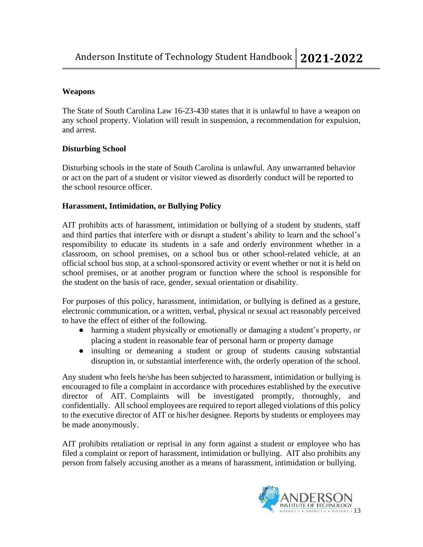# **Weapons**

The State of South Carolina Law 16-23-430 states that it is unlawful to have a weapon on any school property. Violation will result in suspension, a recommendation for expulsion, and arrest.

# **Disturbing School**

Disturbing schools in the state of South Carolina is unlawful. Any unwarranted behavior or act on the part of a student or visitor viewed as disorderly conduct will be reported to the school resource officer.

# **Harassment, Intimidation, or Bullying Policy**

AIT prohibits acts of harassment, intimidation or bullying of a student by students, staff and third parties that interfere with or disrupt a student's ability to learn and the school's responsibility to educate its students in a safe and orderly environment whether in a classroom, on school premises, on a school bus or other school-related vehicle, at an official school bus stop, at a school-sponsored activity or event whether or not it is held on school premises, or at another program or function where the school is responsible for the student on the basis of race, gender, sexual orientation or disability.

For purposes of this policy, harassment, intimidation, or bullying is defined as a gesture, electronic communication, or a written, verbal, physical or sexual act reasonably perceived to have the effect of either of the following.

- harming a student physically or emotionally or damaging a student's property, or placing a student in reasonable fear of personal harm or property damage
- insulting or demeaning a student or group of students causing substantial disruption in, or substantial interference with, the orderly operation of the school.

Any student who feels he/she has been subjected to harassment, intimidation or bullying is encouraged to file a complaint in accordance with procedures established by the executive director of AIT. Complaints will be investigated promptly, thoroughly, and confidentially. All school employees are required to report alleged violations of this policy to the executive director of AIT or his/her designee. Reports by students or employees may be made anonymously.

AIT prohibits retaliation or reprisal in any form against a student or employee who has filed a complaint or report of harassment, intimidation or bullying. AIT also prohibits any person from falsely accusing another as a means of harassment, intimidation or bullying.

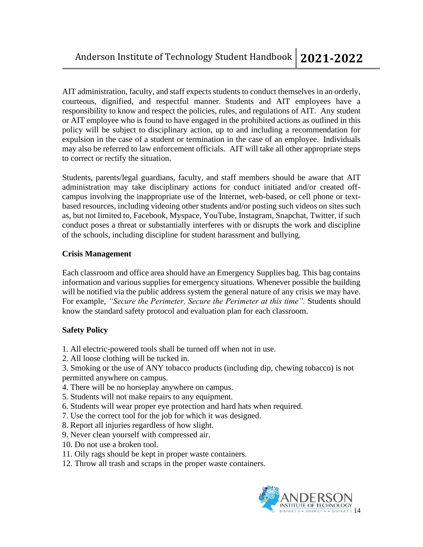AIT administration, faculty, and staff expects students to conduct themselves in an orderly, courteous, dignified, and respectful manner. Students and AIT employees have a responsibility to know and respect the policies, rules, and regulations of AIT. Any student or AIT employee who is found to have engaged in the prohibited actions as outlined in this policy will be subject to disciplinary action, up to and including a recommendation for expulsion in the case of a student or termination in the case of an employee. Individuals may also be referred to law enforcement officials. AIT will take all other appropriate steps to correct or rectify the situation.

Students, parents/legal guardians, faculty, and staff members should be aware that AIT administration may take disciplinary actions for conduct initiated and/or created offcampus involving the inappropriate use of the Internet, web-based, or cell phone or textbased resources, including videoing other students and/or posting such videos on sites such as, but not limited to, Facebook, Myspace, YouTube, Instagram, Snapchat, Twitter, if such conduct poses a threat or substantially interferes with or disrupts the work and discipline of the schools, including discipline for student harassment and bullying.

# **Crisis Management**

Each classroom and office area should have an Emergency Supplies bag. This bag contains information and various supplies for emergency situations. Whenever possible the building will be notified via the public address system the general nature of any crisis we may have. For example, *"Secure the Perimeter, Secure the Perimeter at this time"*. Students should know the standard safety protocol and evaluation plan for each classroom.

# **Safety Policy**

- 1. All electric-powered tools shall be turned off when not in use.
- 2. All loose clothing will be tucked in.

3. Smoking or the use of ANY tobacco products (including dip, chewing tobacco) is not permitted anywhere on campus.

- 4. There will be no horseplay anywhere on campus.
- 5. Students will not make repairs to any equipment.
- 6. Students will wear proper eye protection and hard hats when required.
- 7. Use the correct tool for the job for which it was designed.
- 8. Report all injuries regardless of how slight.
- 9. Never clean yourself with compressed air.
- 10. Do not use a broken tool.
- 11. Oily rags should be kept in proper waste containers.
- 12. Throw all trash and scraps in the proper waste containers.

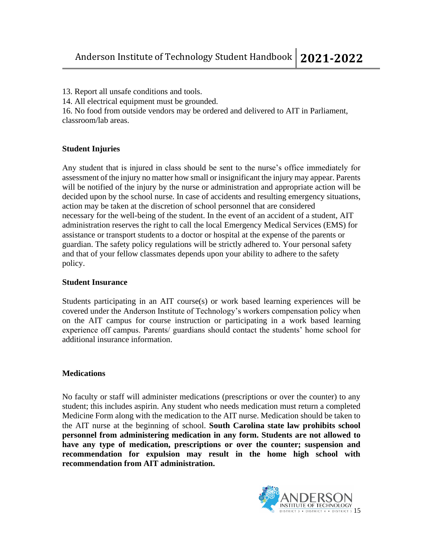13. Report all unsafe conditions and tools.

14. All electrical equipment must be grounded.

16. No food from outside vendors may be ordered and delivered to AIT in Parliament, classroom/lab areas.

# **Student Injuries**

Any student that is injured in class should be sent to the nurse's office immediately for assessment of the injury no matter how small or insignificant the injury may appear. Parents will be notified of the injury by the nurse or administration and appropriate action will be decided upon by the school nurse. In case of accidents and resulting emergency situations, action may be taken at the discretion of school personnel that are considered necessary for the well-being of the student. In the event of an accident of a student, AIT administration reserves the right to call the local Emergency Medical Services (EMS) for assistance or transport students to a doctor or hospital at the expense of the parents or guardian. The safety policy regulations will be strictly adhered to. Your personal safety and that of your fellow classmates depends upon your ability to adhere to the safety policy.

# **Student Insurance**

Students participating in an AIT course(s) or work based learning experiences will be covered under the Anderson Institute of Technology's workers compensation policy when on the AIT campus for course instruction or participating in a work based learning experience off campus. Parents/ guardians should contact the students' home school for additional insurance information.

# **Medications**

No faculty or staff will administer medications (prescriptions or over the counter) to any student; this includes aspirin. Any student who needs medication must return a completed Medicine Form along with the medication to the AIT nurse. Medication should be taken to the AIT nurse at the beginning of school. **South Carolina state law prohibits school personnel from administering medication in any form. Students are not allowed to have any type of medication, prescriptions or over the counter; suspension and recommendation for expulsion may result in the home high school with recommendation from AIT administration.**

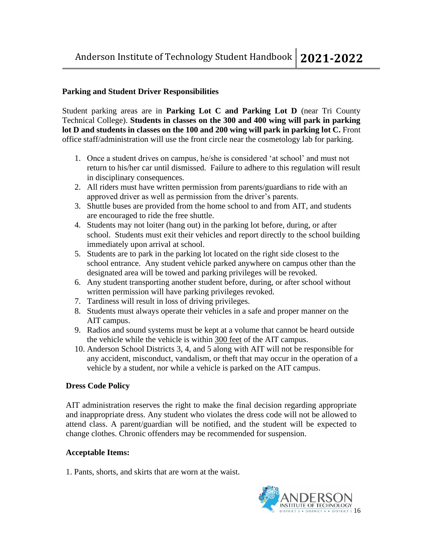#### **Parking and Student Driver Responsibilities**

Student parking areas are in **Parking Lot C and Parking Lot D** (near Tri County Technical College). **Students in classes on the 300 and 400 wing will park in parking lot D and students in classes on the 100 and 200 wing will park in parking lot C.** Front office staff/administration will use the front circle near the cosmetology lab for parking.

- 1. Once a student drives on campus, he/she is considered 'at school' and must not return to his/her car until dismissed. Failure to adhere to this regulation will result in disciplinary consequences.
- 2. All riders must have written permission from parents/guardians to ride with an approved driver as well as permission from the driver's parents.
- 3. Shuttle buses are provided from the home school to and from AIT, and students are encouraged to ride the free shuttle.
- 4. Students may not loiter (hang out) in the parking lot before, during, or after school. Students must exit their vehicles and report directly to the school building immediately upon arrival at school.
- 5. Students are to park in the parking lot located on the right side closest to the school entrance. Any student vehicle parked anywhere on campus other than the designated area will be towed and parking privileges will be revoked.
- 6. Any student transporting another student before, during, or after school without written permission will have parking privileges revoked.
- 7. Tardiness will result in loss of driving privileges.
- 8. Students must always operate their vehicles in a safe and proper manner on the AIT campus.
- 9. Radios and sound systems must be kept at a volume that cannot be heard outside the vehicle while the vehicle is within 300 feet of the AIT campus.
- 10. Anderson School Districts 3, 4, and 5 along with AIT will not be responsible for any accident, misconduct, vandalism, or theft that may occur in the operation of a vehicle by a student, nor while a vehicle is parked on the AIT campus.

# **Dress Code Policy**

AIT administration reserves the right to make the final decision regarding appropriate and inappropriate dress. Any student who violates the dress code will not be allowed to attend class. A parent/guardian will be notified, and the student will be expected to change clothes. Chronic offenders may be recommended for suspension.

#### **Acceptable Items:**

1. Pants, shorts, and skirts that are worn at the waist.

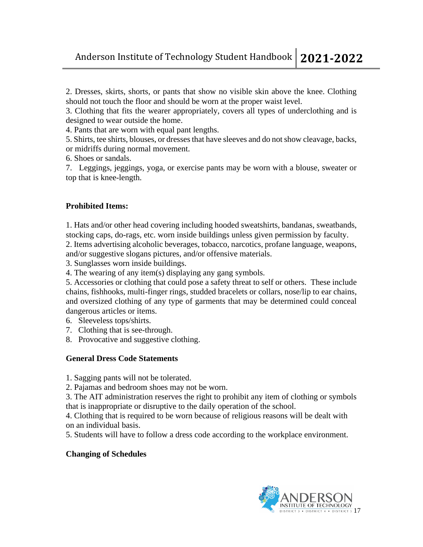2. Dresses, skirts, shorts, or pants that show no visible skin above the knee. Clothing should not touch the floor and should be worn at the proper waist level.

3. Clothing that fits the wearer appropriately, covers all types of underclothing and is designed to wear outside the home.

- 4. Pants that are worn with equal pant lengths.
- 5. Shirts, tee shirts, blouses, or dresses that have sleeves and do not show cleavage, backs, or midriffs during normal movement.
- 6. Shoes or sandals.
- 7. Leggings, jeggings, yoga, or exercise pants may be worn with a blouse, sweater or top that is knee-length.

# **Prohibited Items:**

1. Hats and/or other head covering including hooded sweatshirts, bandanas, sweatbands, stocking caps, do-rags, etc. worn inside buildings unless given permission by faculty.

2. Items advertising alcoholic beverages, tobacco, narcotics, profane language, weapons, and/or suggestive slogans pictures, and/or offensive materials.

3. Sunglasses worn inside buildings.

4. The wearing of any item(s) displaying any gang symbols.

5. Accessories or clothing that could pose a safety threat to self or others. These include chains, fishhooks, multi-finger rings, studded bracelets or collars, nose/lip to ear chains, and oversized clothing of any type of garments that may be determined could conceal dangerous articles or items.

- 6. Sleeveless tops/shirts.
- 7. Clothing that is see-through.
- 8. Provocative and suggestive clothing.

# **General Dress Code Statements**

1. Sagging pants will not be tolerated.

2. Pajamas and bedroom shoes may not be worn.

3. The AIT administration reserves the right to prohibit any item of clothing or symbols that is inappropriate or disruptive to the daily operation of the school.

4. Clothing that is required to be worn because of religious reasons will be dealt with on an individual basis.

5. Students will have to follow a dress code according to the workplace environment.

# **Changing of Schedules**

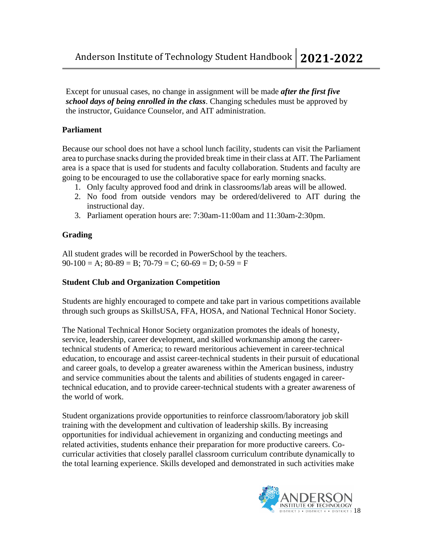Except for unusual cases, no change in assignment will be made *after the first five school days of being enrolled in the class*. Changing schedules must be approved by the instructor, Guidance Counselor, and AIT administration.

# **Parliament**

Because our school does not have a school lunch facility, students can visit the Parliament area to purchase snacks during the provided break time in their class at AIT. The Parliament area is a space that is used for students and faculty collaboration. Students and faculty are going to be encouraged to use the collaborative space for early morning snacks.

- 1. Only faculty approved food and drink in classrooms/lab areas will be allowed.
- 2. No food from outside vendors may be ordered/delivered to AIT during the instructional day.
- 3. Parliament operation hours are: 7:30am-11:00am and 11:30am-2:30pm.

# **Grading**

All student grades will be recorded in PowerSchool by the teachers.  $90-100 = A$ ;  $80-89 = B$ ;  $70-79 = C$ ;  $60-69 = D$ ;  $0-59 = F$ 

# **Student Club and Organization Competition**

Students are highly encouraged to compete and take part in various competitions available through such groups as SkillsUSA, FFA, HOSA, and National Technical Honor Society.

The National Technical Honor Society organization promotes the ideals of honesty, service, leadership, career development, and skilled workmanship among the careertechnical students of America; to reward meritorious achievement in career-technical education, to encourage and assist career-technical students in their pursuit of educational and career goals, to develop a greater awareness within the American business, industry and service communities about the talents and abilities of students engaged in careertechnical education, and to provide career-technical students with a greater awareness of the world of work.

Student organizations provide opportunities to reinforce classroom/laboratory job skill training with the development and cultivation of leadership skills. By increasing opportunities for individual achievement in organizing and conducting meetings and related activities, students enhance their preparation for more productive careers. Cocurricular activities that closely parallel classroom curriculum contribute dynamically to the total learning experience. Skills developed and demonstrated in such activities make

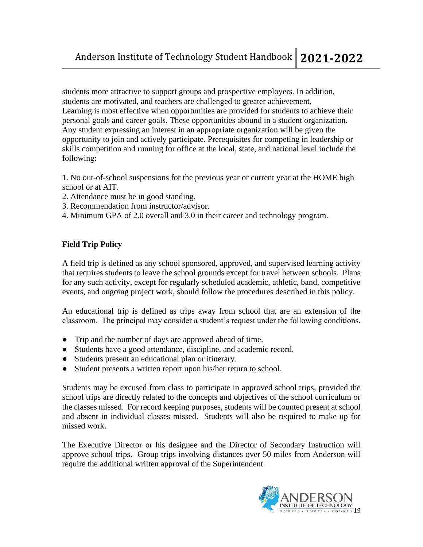students more attractive to support groups and prospective employers. In addition, students are motivated, and teachers are challenged to greater achievement. Learning is most effective when opportunities are provided for students to achieve their personal goals and career goals. These opportunities abound in a student organization. Any student expressing an interest in an appropriate organization will be given the opportunity to join and actively participate. Prerequisites for competing in leadership or skills competition and running for office at the local, state, and national level include the following:

1. No out-of-school suspensions for the previous year or current year at the HOME high school or at AIT.

- 2. Attendance must be in good standing.
- 3. Recommendation from instructor/advisor.
- 4. Minimum GPA of 2.0 overall and 3.0 in their career and technology program.

#### **Field Trip Policy**

A field trip is defined as any school sponsored, approved, and supervised learning activity that requires students to leave the school grounds except for travel between schools. Plans for any such activity, except for regularly scheduled academic, athletic, band, competitive events, and ongoing project work, should follow the procedures described in this policy.

An educational trip is defined as trips away from school that are an extension of the classroom. The principal may consider a student's request under the following conditions.

- Trip and the number of days are approved ahead of time.
- Students have a good attendance, discipline, and academic record.
- Students present an educational plan or itinerary.
- Student presents a written report upon his/her return to school.

Students may be excused from class to participate in approved school trips, provided the school trips are directly related to the concepts and objectives of the school curriculum or the classes missed. For record keeping purposes, students will be counted present at school and absent in individual classes missed. Students will also be required to make up for missed work.

The Executive Director or his designee and the Director of Secondary Instruction will approve school trips. Group trips involving distances over 50 miles from Anderson will require the additional written approval of the Superintendent.

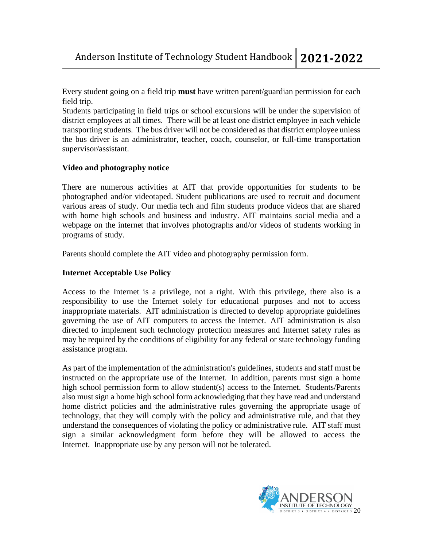Anderson Institute of Technology Student Handbook **2021-2022**

Every student going on a field trip **must** have written parent/guardian permission for each field trip.

Students participating in field trips or school excursions will be under the supervision of district employees at all times. There will be at least one district employee in each vehicle transporting students. The bus driver will not be considered as that district employee unless the bus driver is an administrator, teacher, coach, counselor, or full-time transportation supervisor/assistant.

#### **Video and photography notice**

There are numerous activities at AIT that provide opportunities for students to be photographed and/or videotaped. Student publications are used to recruit and document various areas of study. Our media tech and film students produce videos that are shared with home high schools and business and industry. AIT maintains social media and a webpage on the internet that involves photographs and/or videos of students working in programs of study.

Parents should complete the AIT video and photography permission form.

#### **Internet Acceptable Use Policy**

Access to the Internet is a privilege, not a right. With this privilege, there also is a responsibility to use the Internet solely for educational purposes and not to access inappropriate materials. AIT administration is directed to develop appropriate guidelines governing the use of AIT computers to access the Internet. AIT administration is also directed to implement such technology protection measures and Internet safety rules as may be required by the conditions of eligibility for any federal or state technology funding assistance program.

As part of the implementation of the administration's guidelines, students and staff must be instructed on the appropriate use of the Internet. In addition, parents must sign a home high school permission form to allow student(s) access to the Internet. Students/Parents also must sign a home high school form acknowledging that they have read and understand home district policies and the administrative rules governing the appropriate usage of technology, that they will comply with the policy and administrative rule, and that they understand the consequences of violating the policy or administrative rule. AIT staff must sign a similar acknowledgment form before they will be allowed to access the Internet. Inappropriate use by any person will not be tolerated.

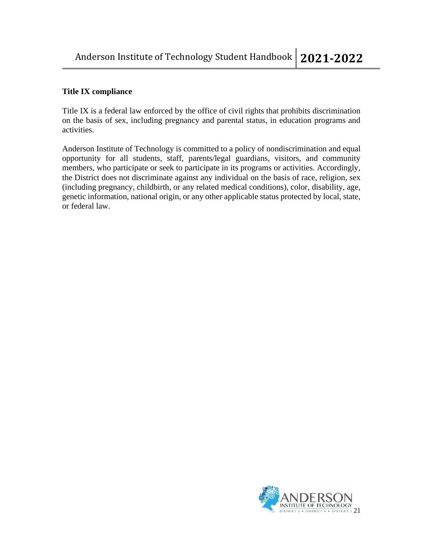# **Title IX compliance**

Title IX is a federal law enforced by the office of civil rights that prohibits discrimination on the basis of sex, including pregnancy and parental status, in education programs and activities.

Anderson Institute of Technology is committed to a policy of nondiscrimination and equal opportunity for all students, staff, parents/legal guardians, visitors, and community members, who participate or seek to participate in its programs or activities. Accordingly, the District does not discriminate against any individual on the basis of race, religion, sex (including pregnancy, childbirth, or any related medical conditions), color, disability, age, genetic information, national origin, or any other applicable status protected by local, state, or federal law.